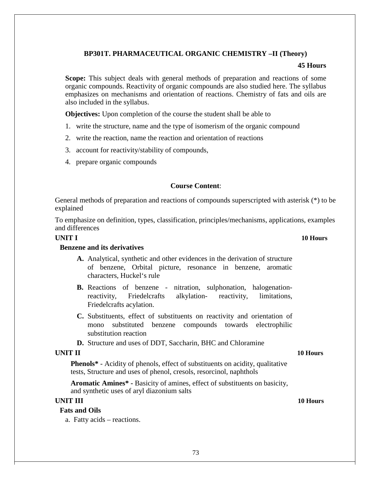# **BP301T. PHARMACEUTICAL ORGANIC CHEMISTRY –II (Theory)**

### **45 Hours**

**Scope:** This subject deals with general methods of preparation and reactions of some organic compounds. Reactivity of organic compounds are also studied here. The syllabus emphasizes on mechanisms and orientation of reactions. Chemistry of fats and oils are also included in the syllabus.

**Objectives:** Upon completion of the course the student shall be able to

- 1. write the structure, name and the type of isomerism of the organic compound
- 2. write the reaction, name the reaction and orientation of reactions
- 3. account for reactivity/stability of compounds,
- 4. prepare organic compounds

### **Course Content**:

General methods of preparation and reactions of compounds superscripted with asterisk (\*) to be explained

To emphasize on definition, types, classification, principles/mechanisms, applications, examples and differences

# **UNIT I 10 Hours**

## **Benzene and its derivatives**

- **A.** Analytical, synthetic and other evidences in the derivation of structure of benzene, Orbital picture, resonance in benzene, aromatic characters, Huckel's rule
- **B.** Reactions of benzene nitration, sulphonation, halogenationreactivity, Friedelcrafts alkylation- reactivity, limitations, Friedelcrafts acylation.
- **C.** Substituents, effect of substituents on reactivity and orientation of mono substituted benzene compounds towards electrophilic substitution reaction
- **D.** Structure and uses of DDT, Saccharin, BHC and Chloramine

## **UNIT II 10 Hours**

**Phenols\*** - Acidity of phenols, effect of substituents on acidity, qualitative tests, Structure and uses of phenol, cresols, resorcinol, naphthols

**Aromatic Amines\* -** Basicity of amines, effect of substituents on basicity, and synthetic uses of aryl diazonium salts

## **UNIT III 10 Hours**

# **Fats and Oils**

a. Fatty acids – reactions.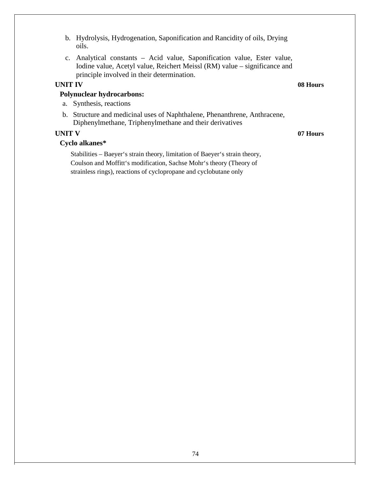b. Hydrolysis, Hydrogenation, Saponification and Rancidity of oils, Drying oils. c. Analytical constants – Acid value, Saponification value, Ester value, Iodine value, Acetyl value, Reichert Meissl (RM) value – significance and principle involved in their determination. **UNIT IV 08 Hours Polynuclear hydrocarbons:** a. Synthesis, reactions b. Structure and medicinal uses of Naphthalene, Phenanthrene, Anthracene, Diphenylmethane, Triphenylmethane and their derivatives

# **UNIT V 07 Hours**

# **Cyclo alkanes\***

Stabilities – Baeyer's strain theory, limitation of Baeyer's strain theory, Coulson and Moffitt's modification, Sachse Mohr's theory (Theory of strainless rings), reactions of cyclopropane and cyclobutane only